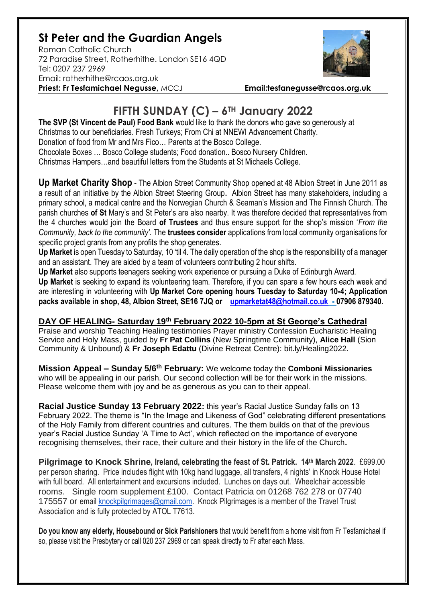## **St Peter and the Guardian Angels**

Roman Catholic Church 72 Paradise Street, Rotherhithe. London SE16 4QD [Tel: 0207](tel:0207) 237 2969 Email: rotherhithe@rcaos.org.uk **Priest: Fr Tesfamichael Negusse,** MCCJ **Email:tesfanegusse@rcaos.org.uk**



## **FIFTH SUNDAY (C) – 6TH January 2022**

**The SVP (St Vincent de Paul) Food Bank** would like to thank the donors who gave so generously at Christmas to our beneficiaries. Fresh Turkeys; From Chi at NNEWI Advancement Charity. Donation of food from Mr and Mrs Fico… Parents at the Bosco College. Chocolate Boxes … Bosco College students; Food donation.. Bosco Nursery Children. Christmas Hampers…and beautiful letters from the Students at St Michaels College.

**Up Market Charity Shop** - The Albion Street Community Shop opened at 48 Albion Street in June 2011 as a result of an initiative by the Albion Street Steering Group**.** Albion Street has many stakeholders, including a primary school, a medical centre and the Norwegian Church & Seaman's Mission and The Finnish Church. The parish churches **of St** Mary's and St Peter's are also nearby. It was therefore decided that representatives from the 4 churches would join the Board **of Trustees** and thus ensure support for the shop's mission '*From the Community, back to the community'.* The **trustees consider** applications from local community organisations for specific project grants from any profits the shop generates.

**Up Market** is open Tuesday to Saturday, 10 'til 4. The daily operation of the shop is the responsibility of a manager and an assistant. They are aided by a team of volunteers contributing 2 hour shifts.

**Up Market** also supports teenagers seeking work experience or pursuing a Duke of Edinburgh Award. **Up Market** is seeking to expand its volunteering team. Therefore, if you can spare a few hours each week and are interesting in volunteering with **Up Market Core opening hours Tuesday to Saturday 10-4; Application packs available in shop, 48, Albion Street, SE16 7JQ or [upmarketat48@hotmail.co.uk](mailto:upmarketat48@hotmail.co.uk) - 07906 879340.**

## **DAY OF HEALING- Saturday 19th February 2022 10-5pm at St George's Cathedral**

Praise and worship Teaching Healing testimonies Prayer ministry Confession Eucharistic Healing Service and Holy Mass, guided by **Fr Pat Collins** (New Springtime Community), **Alice Hall** (Sion Community & Unbound) & **Fr Joseph Edattu** (Divine Retreat Centre): bit.ly/Healing2022.

**Mission Appeal – Sunday 5/6 th February:** We welcome today the **Comboni Missionaries** who will be appealing in our parish. Our second collection will be for their work in the missions. Please welcome them with joy and be as generous as you can to their appeal.

**Racial Justice Sunday 13 February 2022:** this year's Racial Justice Sunday falls on 13 February 2022. The theme is "In the Image and Likeness of God" celebrating different presentations of the Holy Family from different countries and cultures. The them builds on that of the previous year's Racial Justice Sunday 'A Time to Act', which reflected on the importance of everyone recognising themselves, their race, their culture and their history in the life of the Church**.**

**Pilgrimage to Knock Shrine, Ireland, celebrating the feast of St. Patrick. 14th March 2022**. £699.00 per person sharing. Price includes flight with 10kg hand luggage, all transfers, 4 nights' in Knock House Hotel with full board. All entertainment and excursions included. Lunches on days out. Wheelchair accessible rooms. Single room supplement £100. Contact Patricia on 01268 762 278 or 07740 175557 or email [knockpilgrimages@gmail.com.](mailto:patricia@gotrouvaille.com) Knock Pilgrimages is a member of the Travel Trust Association and is fully protected by ATOL T7613.

**Do you know any elderly, Housebound or Sick Parishioners** that would benefit from a home visit from Fr Tesfamichael if so, please visit the Presbytery or call 020 237 2969 or can speak directly to Fr after each Mass.